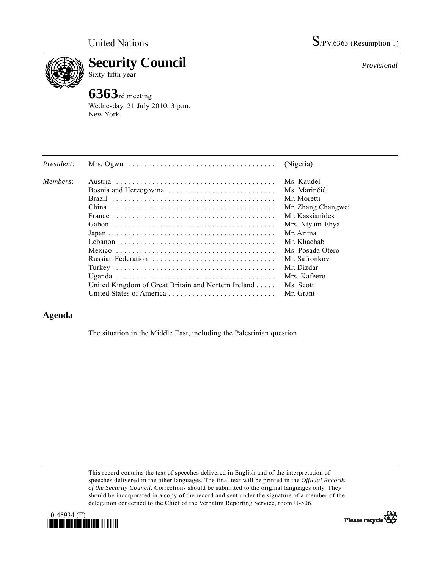

**Security Council** 

Sixty-fifth year

## **6363**rd meeting

Wednesday, 21 July 2010, 3 p.m. New York

| President: | Mrs. Ogwu $\ldots \ldots \ldots \ldots \ldots \ldots \ldots \ldots \ldots \ldots \ldots$ | (Nigeria)          |
|------------|------------------------------------------------------------------------------------------|--------------------|
| Members:   |                                                                                          | Ms. Kaudel         |
|            | Bosnia and Herzegovina                                                                   | Ms. Marinčić       |
|            |                                                                                          | Mr. Moretti        |
|            |                                                                                          | Mr. Zhang Changwei |
|            |                                                                                          | Mr. Kassianides    |
|            |                                                                                          | Mrs. Ntyam-Ehya    |
|            |                                                                                          | Mr. Arima          |
|            |                                                                                          | Mr. Khachab        |
|            |                                                                                          | Ms. Posada Otero   |
|            | Russian Federation                                                                       | Mr. Safronkov      |
|            |                                                                                          | Mr. Dizdar         |
|            |                                                                                          | Mrs. Kafeero       |
|            | United Kingdom of Great Britain and Nortern Ireland                                      | Ms. Scott          |
|            | United States of America                                                                 | Mr. Grant          |

## **Agenda**

The situation in the Middle East, including the Palestinian question

This record contains the text of speeches delivered in English and of the interpretation of speeches delivered in the other languages. The final text will be printed in the *Official Records of the Security Council*. Corrections should be submitted to the original languages only. They should be incorporated in a copy of the record and sent under the signature of a member of the delegation concerned to the Chief of the Verbatim Reporting Service, room U-506.





*Provisional*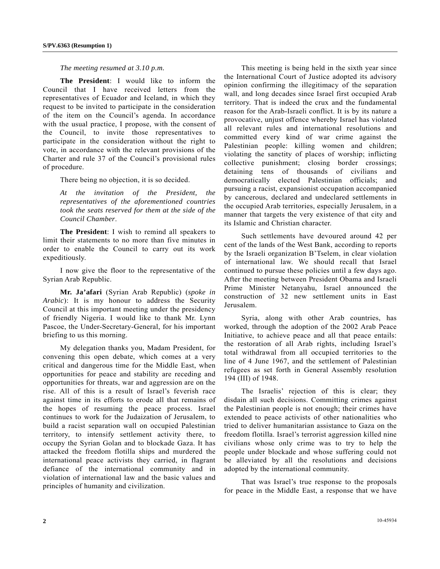## *The meeting resumed at 3.10 p.m.*

**The President**: I would like to inform the Council that I have received letters from the representatives of Ecuador and Iceland, in which they request to be invited to participate in the consideration of the item on the Council's agenda. In accordance with the usual practice, I propose, with the consent of the Council, to invite those representatives to participate in the consideration without the right to vote, in accordance with the relevant provisions of the Charter and rule 37 of the Council's provisional rules of procedure.

There being no objection, it is so decided.

*At the invitation of the President, the representatives of the aforementioned countries took the seats reserved for them at the side of the Council Chamber*.

**The President**: I wish to remind all speakers to limit their statements to no more than five minutes in order to enable the Council to carry out its work expeditiously.

 I now give the floor to the representative of the Syrian Arab Republic.

**Mr. Ja'afari** (Syrian Arab Republic) (*spoke in Arabic*): It is my honour to address the Security Council at this important meeting under the presidency of friendly Nigeria. I would like to thank Mr. Lynn Pascoe, the Under-Secretary-General, for his important briefing to us this morning.

 My delegation thanks you, Madam President, for convening this open debate, which comes at a very critical and dangerous time for the Middle East, when opportunities for peace and stability are receding and opportunities for threats, war and aggression are on the rise. All of this is a result of Israel's feverish race against time in its efforts to erode all that remains of the hopes of resuming the peace process. Israel continues to work for the Judaization of Jerusalem, to build a racist separation wall on occupied Palestinian territory, to intensify settlement activity there, to occupy the Syrian Golan and to blockade Gaza. It has attacked the freedom flotilla ships and murdered the international peace activists they carried, in flagrant defiance of the international community and in violation of international law and the basic values and principles of humanity and civilization.

 This meeting is being held in the sixth year since the International Court of Justice adopted its advisory opinion confirming the illegitimacy of the separation wall, and long decades since Israel first occupied Arab territory. That is indeed the crux and the fundamental reason for the Arab-Israeli conflict. It is by its nature a provocative, unjust offence whereby Israel has violated all relevant rules and international resolutions and committed every kind of war crime against the Palestinian people: killing women and children; violating the sanctity of places of worship; inflicting collective punishment; closing border crossings; detaining tens of thousands of civilians and democratically elected Palestinian officials; and pursuing a racist, expansionist occupation accompanied by cancerous, declared and undeclared settlements in the occupied Arab territories, especially Jerusalem, in a manner that targets the very existence of that city and its Islamic and Christian character.

 Such settlements have devoured around 42 per cent of the lands of the West Bank, according to reports by the Israeli organization B'Tselem, in clear violation of international law. We should recall that Israel continued to pursue these policies until a few days ago. After the meeting between President Obama and Israeli Prime Minister Netanyahu, Israel announced the construction of 32 new settlement units in East Jerusalem.

 Syria, along with other Arab countries, has worked, through the adoption of the 2002 Arab Peace Initiative, to achieve peace and all that peace entails: the restoration of all Arab rights, including Israel's total withdrawal from all occupied territories to the line of 4 June 1967, and the settlement of Palestinian refugees as set forth in General Assembly resolution 194 (III) of 1948.

 The Israelis' rejection of this is clear; they disdain all such decisions. Committing crimes against the Palestinian people is not enough; their crimes have extended to peace activists of other nationalities who tried to deliver humanitarian assistance to Gaza on the freedom flotilla. Israel's terrorist aggression killed nine civilians whose only crime was to try to help the people under blockade and whose suffering could not be alleviated by all the resolutions and decisions adopted by the international community.

 That was Israel's true response to the proposals for peace in the Middle East, a response that we have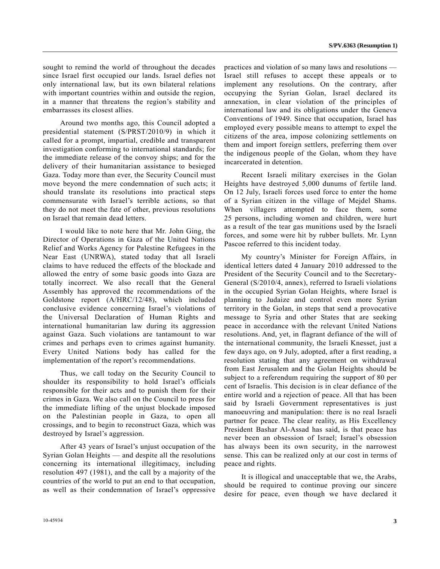sought to remind the world of throughout the decades since Israel first occupied our lands. Israel defies not only international law, but its own bilateral relations with important countries within and outside the region, in a manner that threatens the region's stability and embarrasses its closest allies.

 Around two months ago, this Council adopted a presidential statement (S/PRST/2010/9) in which it called for a prompt, impartial, credible and transparent investigation conforming to international standards; for the immediate release of the convoy ships; and for the delivery of their humanitarian assistance to besieged Gaza. Today more than ever, the Security Council must move beyond the mere condemnation of such acts; it should translate its resolutions into practical steps commensurate with Israel's terrible actions, so that they do not meet the fate of other, previous resolutions on Israel that remain dead letters.

 I would like to note here that Mr. John Ging, the Director of Operations in Gaza of the United Nations Relief and Works Agency for Palestine Refugees in the Near East (UNRWA), stated today that all Israeli claims to have reduced the effects of the blockade and allowed the entry of some basic goods into Gaza are totally incorrect. We also recall that the General Assembly has approved the recommendations of the Goldstone report (A/HRC/12/48), which included conclusive evidence concerning Israel's violations of the Universal Declaration of Human Rights and international humanitarian law during its aggression against Gaza. Such violations are tantamount to war crimes and perhaps even to crimes against humanity. Every United Nations body has called for the implementation of the report's recommendations.

 Thus, we call today on the Security Council to shoulder its responsibility to hold Israel's officials responsible for their acts and to punish them for their crimes in Gaza. We also call on the Council to press for the immediate lifting of the unjust blockade imposed on the Palestinian people in Gaza, to open all crossings, and to begin to reconstruct Gaza, which was destroyed by Israel's aggression.

 After 43 years of Israel's unjust occupation of the Syrian Golan Heights — and despite all the resolutions concerning its international illegitimacy, including resolution 497 (1981), and the call by a majority of the countries of the world to put an end to that occupation, as well as their condemnation of Israel's oppressive practices and violation of so many laws and resolutions — Israel still refuses to accept these appeals or to implement any resolutions. On the contrary, after occupying the Syrian Golan, Israel declared its annexation, in clear violation of the principles of international law and its obligations under the Geneva Conventions of 1949. Since that occupation, Israel has employed every possible means to attempt to expel the citizens of the area, impose colonizing settlements on them and import foreign settlers, preferring them over the indigenous people of the Golan, whom they have incarcerated in detention.

 Recent Israeli military exercises in the Golan Heights have destroyed 5,000 dunums of fertile land. On 12 July, Israeli forces used force to enter the home of a Syrian citizen in the village of Mejdel Shams. When villagers attempted to face them, some 25 persons, including women and children, were hurt as a result of the tear gas munitions used by the Israeli forces, and some were hit by rubber bullets. Mr. Lynn Pascoe referred to this incident today.

 My country's Minister for Foreign Affairs, in identical letters dated 4 January 2010 addressed to the President of the Security Council and to the Secretary-General (S/2010/4, annex), referred to Israeli violations in the occupied Syrian Golan Heights, where Israel is planning to Judaize and control even more Syrian territory in the Golan, in steps that send a provocative message to Syria and other States that are seeking peace in accordance with the relevant United Nations resolutions. And, yet, in flagrant defiance of the will of the international community, the Israeli Knesset, just a few days ago, on 9 July, adopted, after a first reading, a resolution stating that any agreement on withdrawal from East Jerusalem and the Golan Heights should be subject to a referendum requiring the support of 80 per cent of Israelis. This decision is in clear defiance of the entire world and a rejection of peace. All that has been said by Israeli Government representatives is just manoeuvring and manipulation: there is no real Israeli partner for peace. The clear reality, as His Excellency President Bashar Al-Assad has said, is that peace has never been an obsession of Israel; Israel's obsession has always been its own security, in the narrowest sense. This can be realized only at our cost in terms of peace and rights.

 It is illogical and unacceptable that we, the Arabs, should be required to continue proving our sincere desire for peace, even though we have declared it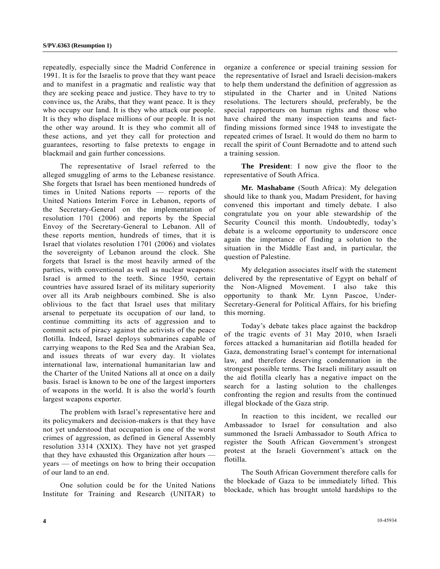repeatedly, especially since the Madrid Conference in 1991. It is for the Israelis to prove that they want peace and to manifest in a pragmatic and realistic way that they are seeking peace and justice. They have to try to convince us, the Arabs, that they want peace. It is they who occupy our land. It is they who attack our people. It is they who displace millions of our people. It is not the other way around. It is they who commit all of these actions, and yet they call for protection and guarantees, resorting to false pretexts to engage in blackmail and gain further concessions.

 The representative of Israel referred to the alleged smuggling of arms to the Lebanese resistance. She forgets that Israel has been mentioned hundreds of times in United Nations reports — reports of the United Nations Interim Force in Lebanon, reports of the Secretary-General on the implementation of resolution 1701 (2006) and reports by the Special Envoy of the Secretary-General to Lebanon. All of these reports mention, hundreds of times, that it is Israel that violates resolution 1701 (2006) and violates the sovereignty of Lebanon around the clock. She forgets that Israel is the most heavily armed of the parties, with conventional as well as nuclear weapons: Israel is armed to the teeth. Since 1950, certain countries have assured Israel of its military superiority over all its Arab neighbours combined. She is also oblivious to the fact that Israel uses that military arsenal to perpetuate its occupation of our land, to continue committing its acts of aggression and to commit acts of piracy against the activists of the peace flotilla. Indeed, Israel deploys submarines capable of carrying weapons to the Red Sea and the Arabian Sea, and issues threats of war every day. It violates international law, international humanitarian law and the Charter of the United Nations all at once on a daily basis. Israel is known to be one of the largest importers of weapons in the world. It is also the world's fourth largest weapons exporter.

 The problem with Israel's representative here and its policymakers and decision-makers is that they have not yet understood that occupation is one of the worst crimes of aggression, as defined in General Assembly resolution 3314 (XXIX). They have not yet grasped that they have exhausted this Organization after hours years — of meetings on how to bring their occupation of our land to an end.

 One solution could be for the United Nations Institute for Training and Research (UNITAR) to organize a conference or special training session for the representative of Israel and Israeli decision-makers to help them understand the definition of aggression as stipulated in the Charter and in United Nations resolutions. The lecturers should, preferably, be the special rapporteurs on human rights and those who have chaired the many inspection teams and factfinding missions formed since 1948 to investigate the repeated crimes of Israel. It would do them no harm to recall the spirit of Count Bernadotte and to attend such a training session.

 **The President**: I now give the floor to the representative of South Africa.

 **Mr. Mashabane** (South Africa): My delegation should like to thank you, Madam President, for having convened this important and timely debate. I also congratulate you on your able stewardship of the Security Council this month. Undoubtedly, today's debate is a welcome opportunity to underscore once again the importance of finding a solution to the situation in the Middle East and, in particular, the question of Palestine.

 My delegation associates itself with the statement delivered by the representative of Egypt on behalf of the Non-Aligned Movement. I also take this opportunity to thank Mr. Lynn Pascoe, Under-Secretary-General for Political Affairs, for his briefing this morning.

 Today's debate takes place against the backdrop of the tragic events of 31 May 2010, when Israeli forces attacked a humanitarian aid flotilla headed for Gaza, demonstrating Israel's contempt for international law, and therefore deserving condemnation in the strongest possible terms. The Israeli military assault on the aid flotilla clearly has a negative impact on the search for a lasting solution to the challenges confronting the region and results from the continued illegal blockade of the Gaza strip.

 In reaction to this incident, we recalled our Ambassador to Israel for consultation and also summoned the Israeli Ambassador to South Africa to register the South African Government's strongest protest at the Israeli Government's attack on the flotilla.

 The South African Government therefore calls for the blockade of Gaza to be immediately lifted. This blockade, which has brought untold hardships to the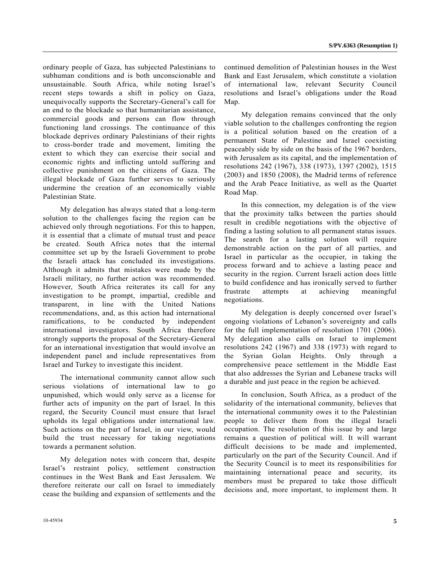ordinary people of Gaza, has subjected Palestinians to subhuman conditions and is both unconscionable and unsustainable. South Africa, while noting Israel's recent steps towards a shift in policy on Gaza, unequivocally supports the Secretary-General's call for an end to the blockade so that humanitarian assistance, commercial goods and persons can flow through functioning land crossings. The continuance of this blockade deprives ordinary Palestinians of their rights to cross-border trade and movement, limiting the extent to which they can exercise their social and economic rights and inflicting untold suffering and collective punishment on the citizens of Gaza. The illegal blockade of Gaza further serves to seriously undermine the creation of an economically viable Palestinian State.

 My delegation has always stated that a long-term solution to the challenges facing the region can be achieved only through negotiations. For this to happen, it is essential that a climate of mutual trust and peace be created. South Africa notes that the internal committee set up by the Israeli Government to probe the Israeli attack has concluded its investigations. Although it admits that mistakes were made by the Israeli military, no further action was recommended. However, South Africa reiterates its call for any investigation to be prompt, impartial, credible and transparent, in line with the United Nations recommendations, and, as this action had international ramifications, to be conducted by independent international investigators. South Africa therefore strongly supports the proposal of the Secretary-General for an international investigation that would involve an independent panel and include representatives from Israel and Turkey to investigate this incident.

 The international community cannot allow such serious violations of international law to go unpunished, which would only serve as a license for further acts of impunity on the part of Israel. In this regard, the Security Council must ensure that Israel upholds its legal obligations under international law. Such actions on the part of Israel, in our view, would build the trust necessary for taking negotiations towards a permanent solution.

 My delegation notes with concern that, despite Israel's restraint policy, settlement construction continues in the West Bank and East Jerusalem. We therefore reiterate our call on Israel to immediately cease the building and expansion of settlements and the

 My delegation remains convinced that the only viable solution to the challenges confronting the region is a political solution based on the creation of a permanent State of Palestine and Israel coexisting peaceably side by side on the basis of the 1967 borders, with Jerusalem as its capital, and the implementation of resolutions 242 (1967), 338 (1973), 1397 (2002), 1515 (2003) and 1850 (2008), the Madrid terms of reference and the Arab Peace Initiative, as well as the Quartet Road Map.

 In this connection, my delegation is of the view that the proximity talks between the parties should result in credible negotiations with the objective of finding a lasting solution to all permanent status issues. The search for a lasting solution will require demonstrable action on the part of all parties, and Israel in particular as the occupier, in taking the process forward and to achieve a lasting peace and security in the region. Current Israeli action does little to build confidence and has ironically served to further frustrate attempts at achieving meaningful negotiations.

 My delegation is deeply concerned over Israel's ongoing violations of Lebanon's sovereignty and calls for the full implementation of resolution 1701 (2006). My delegation also calls on Israel to implement resolutions 242 (1967) and 338 (1973) with regard to the Syrian Golan Heights. Only through a comprehensive peace settlement in the Middle East that also addresses the Syrian and Lebanese tracks will a durable and just peace in the region be achieved.

 In conclusion, South Africa, as a product of the solidarity of the international community, believes that the international community owes it to the Palestinian people to deliver them from the illegal Israeli occupation. The resolution of this issue by and large remains a question of political will. It will warrant difficult decisions to be made and implemented, particularly on the part of the Security Council. And if the Security Council is to meet its responsibilities for maintaining international peace and security, its members must be prepared to take those difficult decisions and, more important, to implement them. It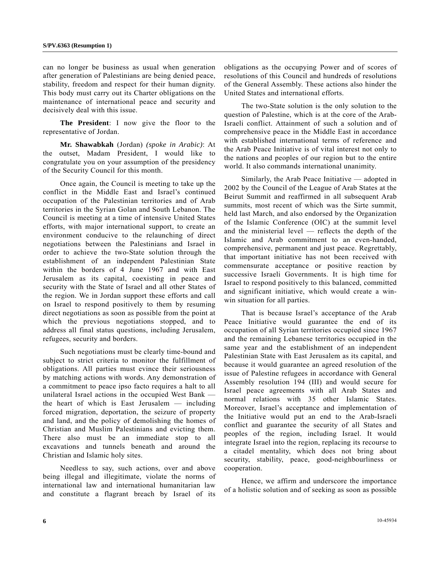can no longer be business as usual when generation after generation of Palestinians are being denied peace, stability, freedom and respect for their human dignity. This body must carry out its Charter obligations on the maintenance of international peace and security and decisively deal with this issue.

**The President**: I now give the floor to the representative of Jordan.

 **Mr. Shawabkah** (Jordan) *(spoke in Arabic)*: At the outset, Madam President, I would like to congratulate you on your assumption of the presidency of the Security Council for this month.

 Once again, the Council is meeting to take up the conflict in the Middle East and Israel's continued occupation of the Palestinian territories and of Arab territories in the Syrian Golan and South Lebanon. The Council is meeting at a time of intensive United States efforts, with major international support, to create an environment conducive to the relaunching of direct negotiations between the Palestinians and Israel in order to achieve the two-State solution through the establishment of an independent Palestinian State within the borders of 4 June 1967 and with East Jerusalem as its capital, coexisting in peace and security with the State of Israel and all other States of the region. We in Jordan support these efforts and call on Israel to respond positively to them by resuming direct negotiations as soon as possible from the point at which the previous negotiations stopped, and to address all final status questions, including Jerusalem, refugees, security and borders.

 Such negotiations must be clearly time-bound and subject to strict criteria to monitor the fulfillment of obligations. All parties must evince their seriousness by matching actions with words. Any demonstration of a commitment to peace ipso facto requires a halt to all unilateral Israel actions in the occupied West Bank the heart of which is East Jerusalem — including forced migration, deportation, the seizure of property and land, and the policy of demolishing the homes of Christian and Muslim Palestinians and evicting them. There also must be an immediate stop to all excavations and tunnels beneath and around the Christian and Islamic holy sites.

 Needless to say, such actions, over and above being illegal and illegitimate, violate the norms of international law and international humanitarian law and constitute a flagrant breach by Israel of its

obligations as the occupying Power and of scores of resolutions of this Council and hundreds of resolutions of the General Assembly. These actions also hinder the United States and international efforts.

 The two-State solution is the only solution to the question of Palestine, which is at the core of the Arab-Israeli conflict. Attainment of such a solution and of comprehensive peace in the Middle East in accordance with established international terms of reference and the Arab Peace Initiative is of vital interest not only to the nations and peoples of our region but to the entire world. It also commands international unanimity.

 Similarly, the Arab Peace Initiative — adopted in 2002 by the Council of the League of Arab States at the Beirut Summit and reaffirmed in all subsequent Arab summits, most recent of which was the Sirte summit, held last March, and also endorsed by the Organization of the Islamic Conference (OIC) at the summit level and the ministerial level — reflects the depth of the Islamic and Arab commitment to an even-handed, comprehensive, permanent and just peace. Regrettably, that important initiative has not been received with commensurate acceptance or positive reaction by successive Israeli Governments. It is high time for Israel to respond positively to this balanced, committed and significant initiative, which would create a winwin situation for all parties.

 That is because Israel's acceptance of the Arab Peace Initiative would guarantee the end of its occupation of all Syrian territories occupied since 1967 and the remaining Lebanese territories occupied in the same year and the establishment of an independent Palestinian State with East Jerusalem as its capital, and because it would guarantee an agreed resolution of the issue of Palestine refugees in accordance with General Assembly resolution 194 (III) and would secure for Israel peace agreements with all Arab States and normal relations with 35 other Islamic States. Moreover, Israel's acceptance and implementation of the Initiative would put an end to the Arab-Israeli conflict and guarantee the security of all States and peoples of the region, including Israel. It would integrate Israel into the region, replacing its recourse to a citadel mentality, which does not bring about security, stability, peace, good-neighbourliness or cooperation.

 Hence, we affirm and underscore the importance of a holistic solution and of seeking as soon as possible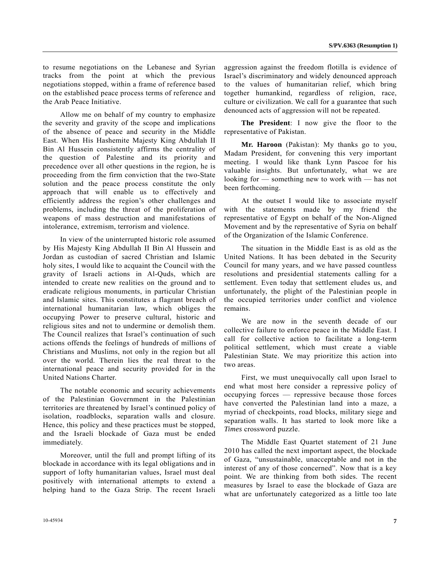to resume negotiations on the Lebanese and Syrian tracks from the point at which the previous negotiations stopped, within a frame of reference based on the established peace process terms of reference and the Arab Peace Initiative.

 Allow me on behalf of my country to emphasize the severity and gravity of the scope and implications of the absence of peace and security in the Middle East. When His Hashemite Majesty King Abdullah II Bin Al Hussein consistently affirms the centrality of the question of Palestine and its priority and precedence over all other questions in the region, he is proceeding from the firm conviction that the two-State solution and the peace process constitute the only approach that will enable us to effectively and efficiently address the region's other challenges and problems, including the threat of the proliferation of weapons of mass destruction and manifestations of intolerance, extremism, terrorism and violence.

 In view of the uninterrupted historic role assumed by His Majesty King Abdullah II Bin Al Hussein and Jordan as custodian of sacred Christian and Islamic holy sites, I would like to acquaint the Council with the gravity of Israeli actions in Al-Quds, which are intended to create new realities on the ground and to eradicate religious monuments, in particular Christian and Islamic sites. This constitutes a flagrant breach of international humanitarian law, which obliges the occupying Power to preserve cultural, historic and religious sites and not to undermine or demolish them. The Council realizes that Israel's continuation of such actions offends the feelings of hundreds of millions of Christians and Muslims, not only in the region but all over the world. Therein lies the real threat to the international peace and security provided for in the United Nations Charter.

 The notable economic and security achievements of the Palestinian Government in the Palestinian territories are threatened by Israel's continued policy of isolation, roadblocks, separation walls and closure. Hence, this policy and these practices must be stopped, and the Israeli blockade of Gaza must be ended immediately.

 Moreover, until the full and prompt lifting of its blockade in accordance with its legal obligations and in support of lofty humanitarian values, Israel must deal positively with international attempts to extend a helping hand to the Gaza Strip. The recent Israeli

aggression against the freedom flotilla is evidence of Israel's discriminatory and widely denounced approach to the values of humanitarian relief, which bring together humankind, regardless of religion, race, culture or civilization. We call for a guarantee that such denounced acts of aggression will not be repeated.

**The President**: I now give the floor to the representative of Pakistan.

**Mr. Haroon** (Pakistan): My thanks go to you, Madam President, for convening this very important meeting. I would like thank Lynn Pascoe for his valuable insights. But unfortunately, what we are looking for — something new to work with — has not been forthcoming.

 At the outset I would like to associate myself with the statements made by my friend the representative of Egypt on behalf of the Non-Aligned Movement and by the representative of Syria on behalf of the Organization of the Islamic Conference.

 The situation in the Middle East is as old as the United Nations. It has been debated in the Security Council for many years, and we have passed countless resolutions and presidential statements calling for a settlement. Even today that settlement eludes us, and unfortunately, the plight of the Palestinian people in the occupied territories under conflict and violence remains.

 We are now in the seventh decade of our collective failure to enforce peace in the Middle East. I call for collective action to facilitate a long-term political settlement, which must create a viable Palestinian State. We may prioritize this action into two areas.

 First, we must unequivocally call upon Israel to end what most here consider a repressive policy of occupying forces — repressive because those forces have converted the Palestinian land into a maze, a myriad of checkpoints, road blocks, military siege and separation walls. It has started to look more like a *Times* crossword puzzle.

 The Middle East Quartet statement of 21 June 2010 has called the next important aspect, the blockade of Gaza, "unsustainable, unacceptable and not in the interest of any of those concerned". Now that is a key point. We are thinking from both sides. The recent measures by Israel to ease the blockade of Gaza are what are unfortunately categorized as a little too late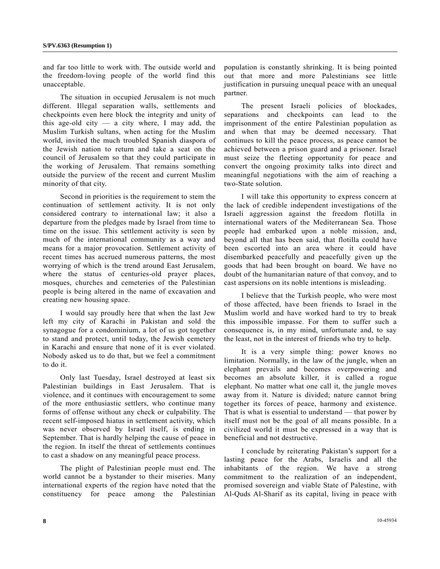and far too little to work with. The outside world and the freedom-loving people of the world find this unacceptable.

 The situation in occupied Jerusalem is not much different. Illegal separation walls, settlements and checkpoints even here block the integrity and unity of this age-old city  $-$  a city where, I may add, the Muslim Turkish sultans, when acting for the Muslim world, invited the much troubled Spanish diaspora of the Jewish nation to return and take a seat on the council of Jerusalem so that they could participate in the working of Jerusalem. That remains something outside the purview of the recent and current Muslim minority of that city.

 Second in priorities is the requirement to stem the continuation of settlement activity. It is not only considered contrary to international law; it also a departure from the pledges made by Israel from time to time on the issue. This settlement activity is seen by much of the international community as a way and means for a major provocation. Settlement activity of recent times has accrued numerous patterns, the most worrying of which is the trend around East Jerusalem, where the status of centuries-old prayer places, mosques, churches and cemeteries of the Palestinian people is being altered in the name of excavation and creating new housing space.

 I would say proudly here that when the last Jew left my city of Karachi in Pakistan and sold the synagogue for a condominium, a lot of us got together to stand and protect, until today, the Jewish cemetery in Karachi and ensure that none of it is ever violated. Nobody asked us to do that, but we feel a commitment to do it.

 Only last Tuesday, Israel destroyed at least six Palestinian buildings in East Jerusalem. That is violence, and it continues with encouragement to some of the more enthusiastic settlers, who continue many forms of offense without any check or culpability. The recent self-imposed hiatus in settlement activity, which was never observed by Israel itself, is ending in September. That is hardly helping the cause of peace in the region. In itself the threat of settlements continues to cast a shadow on any meaningful peace process.

 The plight of Palestinian people must end. The world cannot be a bystander to their miseries. Many international experts of the region have noted that the constituency for peace among the Palestinian population is constantly shrinking. It is being pointed out that more and more Palestinians see little justification in pursuing unequal peace with an unequal partner.

 The present Israeli policies of blockades, separations and checkpoints can lead to the imprisonment of the entire Palestinian population as and when that may be deemed necessary. That continues to kill the peace process, as peace cannot be achieved between a prison guard and a prisoner. Israel must seize the fleeting opportunity for peace and convert the ongoing proximity talks into direct and meaningful negotiations with the aim of reaching a two-State solution.

 I will take this opportunity to express concern at the lack of credible independent investigations of the Israeli aggression against the freedom flotilla in international waters of the Mediterranean Sea. Those people had embarked upon a noble mission, and, beyond all that has been said, that flotilla could have been escorted into an area where it could have disembarked peacefully and peacefully given up the goods that had been brought on board. We have no doubt of the humanitarian nature of that convoy, and to cast aspersions on its noble intentions is misleading.

 I believe that the Turkish people, who were most of those affected, have been friends to Israel in the Muslim world and have worked hard to try to break this impossible impasse. For them to suffer such a consequence is, in my mind, unfortunate and, to say the least, not in the interest of friends who try to help.

 It is a very simple thing: power knows no limitation. Normally, in the law of the jungle, when an elephant prevails and becomes overpowering and becomes an absolute killer, it is called a rogue elephant. No matter what one call it, the jungle moves away from it. Nature is divided; nature cannot bring together its forces of peace, harmony and existence. That is what is essential to understand — that power by itself must not be the goal of all means possible. In a civilized world it must be expressed in a way that is beneficial and not destructive.

 I conclude by reiterating Pakistan's support for a lasting peace for the Arabs, Israelis and all the inhabitants of the region. We have a strong commitment to the realization of an independent, promised sovereign and viable State of Palestine, with Al-Quds Al-Sharif as its capital, living in peace with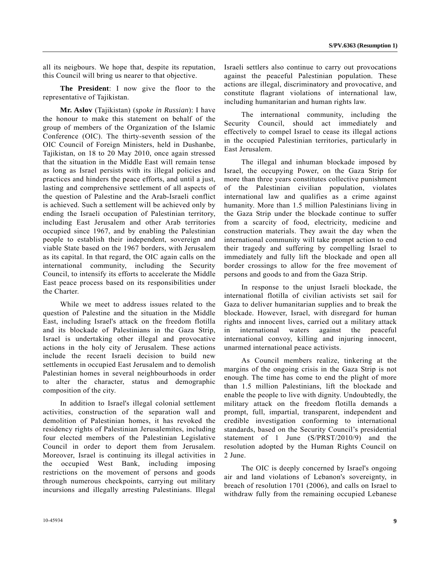all its neigbours. We hope that, despite its reputation, this Council will bring us nearer to that objective.

 **The President**: I now give the floor to the representative of Tajikistan.

**Mr. Aslov** (Tajikistan) (*spoke in Russian*): I have the honour to make this statement on behalf of the group of members of the Organization of the Islamic Conference (OIC). The thirty-seventh session of the OIC Council of Foreign Ministers, held in Dushanbe, Tajikistan, on 18 to 20 May 2010, once again stressed that the situation in the Middle East will remain tense as long as Israel persists with its illegal policies and practices and hinders the peace efforts, and until a just, lasting and comprehensive settlement of all aspects of the question of Palestine and the Arab-Israeli conflict is achieved. Such a settlement will be achieved only by ending the Israeli occupation of Palestinian territory, including East Jerusalem and other Arab territories occupied since 1967, and by enabling the Palestinian people to establish their independent, sovereign and viable State based on the 1967 borders, with Jerusalem as its capital. In that regard, the OIC again calls on the international community, including the Security Council, to intensify its efforts to accelerate the Middle East peace process based on its responsibilities under the Charter.

 While we meet to address issues related to the question of Palestine and the situation in the Middle East, including Israel's attack on the freedom flotilla and its blockade of Palestinians in the Gaza Strip, Israel is undertaking other illegal and provocative actions in the holy city of Jerusalem. These actions include the recent Israeli decision to build new settlements in occupied East Jerusalem and to demolish Palestinian homes in several neighbourhoods in order to alter the character, status and demographic composition of the city.

 In addition to Israel's illegal colonial settlement activities, construction of the separation wall and demolition of Palestinian homes, it has revoked the residency rights of Palestinian Jerusalemites, including four elected members of the Palestinian Legislative Council in order to deport them from Jerusalem. Moreover, Israel is continuing its illegal activities in the occupied West Bank, including imposing restrictions on the movement of persons and goods through numerous checkpoints, carrying out military incursions and illegally arresting Palestinians. Illegal Israeli settlers also continue to carry out provocations against the peaceful Palestinian population. These actions are illegal, discriminatory and provocative, and constitute flagrant violations of international law, including humanitarian and human rights law.

 The international community, including the Security Council, should act immediately and effectively to compel Israel to cease its illegal actions in the occupied Palestinian territories, particularly in East Jerusalem.

 The illegal and inhuman blockade imposed by Israel, the occupying Power, on the Gaza Strip for more than three years constitutes collective punishment of the Palestinian civilian population, violates international law and qualifies as a crime against humanity. More than 1.5 million Palestinians living in the Gaza Strip under the blockade continue to suffer from a scarcity of food, electricity, medicine and construction materials. They await the day when the international community will take prompt action to end their tragedy and suffering by compelling Israel to immediately and fully lift the blockade and open all border crossings to allow for the free movement of persons and goods to and from the Gaza Strip.

 In response to the unjust Israeli blockade, the international flotilla of civilian activists set sail for Gaza to deliver humanitarian supplies and to break the blockade. However, Israel, with disregard for human rights and innocent lives, carried out a military attack in international waters against the peaceful international convoy, killing and injuring innocent, unarmed international peace activists.

 As Council members realize, tinkering at the margins of the ongoing crisis in the Gaza Strip is not enough. The time has come to end the plight of more than 1.5 million Palestinians, lift the blockade and enable the people to live with dignity. Undoubtedly, the military attack on the freedom flotilla demands a prompt, full, impartial, transparent, independent and credible investigation conforming to international standards, based on the Security Council's presidential statement of 1 June (S/PRST/2010/9) and the resolution adopted by the Human Rights Council on 2 June.

 The OIC is deeply concerned by Israel's ongoing air and land violations of Lebanon's sovereignty, in breach of resolution 1701 (2006), and calls on Israel to withdraw fully from the remaining occupied Lebanese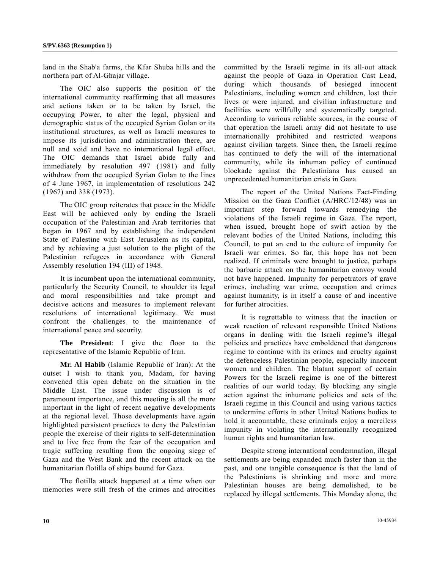land in the Shab'a farms, the Kfar Shuba hills and the northern part of Al-Ghajar village.

 The OIC also supports the position of the international community reaffirming that all measures and actions taken or to be taken by Israel, the occupying Power, to alter the legal, physical and demographic status of the occupied Syrian Golan or its institutional structures, as well as Israeli measures to impose its jurisdiction and administration there, are null and void and have no international legal effect. The OIC demands that Israel abide fully and immediately by resolution 497 (1981) and fully withdraw from the occupied Syrian Golan to the lines of 4 June 1967, in implementation of resolutions 242 (1967) and 338 (1973).

 The OIC group reiterates that peace in the Middle East will be achieved only by ending the Israeli occupation of the Palestinian and Arab territories that began in 1967 and by establishing the independent State of Palestine with East Jerusalem as its capital, and by achieving a just solution to the plight of the Palestinian refugees in accordance with General Assembly resolution 194 (III) of 1948.

 It is incumbent upon the international community, particularly the Security Council, to shoulder its legal and moral responsibilities and take prompt and decisive actions and measures to implement relevant resolutions of international legitimacy. We must confront the challenges to the maintenance of international peace and security.

**The President**: I give the floor to the representative of the Islamic Republic of Iran.

**Mr. Al Habib** (Islamic Republic of Iran): At the outset I wish to thank you, Madam, for having convened this open debate on the situation in the Middle East. The issue under discussion is of paramount importance, and this meeting is all the more important in the light of recent negative developments at the regional level. Those developments have again highlighted persistent practices to deny the Palestinian people the exercise of their rights to self-determination and to live free from the fear of the occupation and tragic suffering resulting from the ongoing siege of Gaza and the West Bank and the recent attack on the humanitarian flotilla of ships bound for Gaza.

 The flotilla attack happened at a time when our memories were still fresh of the crimes and atrocities

committed by the Israeli regime in its all-out attack against the people of Gaza in Operation Cast Lead, during which thousands of besieged innocent Palestinians, including women and children, lost their lives or were injured, and civilian infrastructure and facilities were willfully and systematically targeted. According to various reliable sources, in the course of that operation the Israeli army did not hesitate to use internationally prohibited and restricted weapons against civilian targets. Since then, the Israeli regime has continued to defy the will of the international community, while its inhuman policy of continued blockade against the Palestinians has caused an unprecedented humanitarian crisis in Gaza.

 The report of the United Nations Fact-Finding Mission on the Gaza Conflict (A/HRC/12/48) was an important step forward towards remedying the violations of the Israeli regime in Gaza. The report, when issued, brought hope of swift action by the relevant bodies of the United Nations, including this Council, to put an end to the culture of impunity for Israeli war crimes. So far, this hope has not been realized. If criminals were brought to justice, perhaps the barbaric attack on the humanitarian convoy would not have happened. Impunity for perpetrators of grave crimes, including war crime, occupation and crimes against humanity, is in itself a cause of and incentive for further atrocities.

 It is regrettable to witness that the inaction or weak reaction of relevant responsible United Nations organs in dealing with the Israeli regime's illegal policies and practices have emboldened that dangerous regime to continue with its crimes and cruelty against the defenceless Palestinian people, especially innocent women and children. The blatant support of certain Powers for the Israeli regime is one of the bitterest realities of our world today. By blocking any single action against the inhumane policies and acts of the Israeli regime in this Council and using various tactics to undermine efforts in other United Nations bodies to hold it accountable, these criminals enjoy a merciless impunity in violating the internationally recognized human rights and humanitarian law.

 Despite strong international condemnation, illegal settlements are being expanded much faster than in the past, and one tangible consequence is that the land of the Palestinians is shrinking and more and more Palestinian houses are being demolished, to be replaced by illegal settlements. This Monday alone, the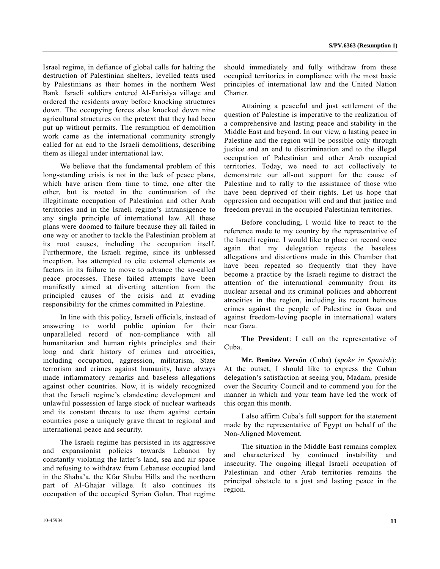Israel regime, in defiance of global calls for halting the destruction of Palestinian shelters, levelled tents used by Palestinians as their homes in the northern West Bank. Israeli soldiers entered Al-Farisiya village and ordered the residents away before knocking structures down. The occupying forces also knocked down nine agricultural structures on the pretext that they had been put up without permits. The resumption of demolition work came as the international community strongly called for an end to the Israeli demolitions, describing them as illegal under international law.

 We believe that the fundamental problem of this long-standing crisis is not in the lack of peace plans, which have arisen from time to time, one after the other, but is rooted in the continuation of the illegitimate occupation of Palestinian and other Arab territories and in the Israeli regime's intransigence to any single principle of international law. All these plans were doomed to failure because they all failed in one way or another to tackle the Palestinian problem at its root causes, including the occupation itself. Furthermore, the Israeli regime, since its unblessed inception, has attempted to cite external elements as factors in its failure to move to advance the so-called peace processes. These failed attempts have been manifestly aimed at diverting attention from the principled causes of the crisis and at evading responsibility for the crimes committed in Palestine.

 In line with this policy, Israeli officials, instead of answering to world public opinion for their unparalleled record of non-compliance with all humanitarian and human rights principles and their long and dark history of crimes and atrocities, including occupation, aggression, militarism, State terrorism and crimes against humanity, have always made inflammatory remarks and baseless allegations against other countries. Now, it is widely recognized that the Israeli regime's clandestine development and unlawful possession of large stock of nuclear warheads and its constant threats to use them against certain countries pose a uniquely grave threat to regional and international peace and security.

 The Israeli regime has persisted in its aggressive and expansionist policies towards Lebanon by constantly violating the latter's land, sea and air space and refusing to withdraw from Lebanese occupied land in the Shaba'a, the Kfar Shuba Hills and the northern part of Al-Ghajar village. It also continues its occupation of the occupied Syrian Golan. That regime should immediately and fully withdraw from these occupied territories in compliance with the most basic principles of international law and the United Nation Charter.

 Attaining a peaceful and just settlement of the question of Palestine is imperative to the realization of a comprehensive and lasting peace and stability in the Middle East and beyond. In our view, a lasting peace in Palestine and the region will be possible only through justice and an end to discrimination and to the illegal occupation of Palestinian and other Arab occupied territories. Today, we need to act collectively to demonstrate our all-out support for the cause of Palestine and to rally to the assistance of those who have been deprived of their rights. Let us hope that oppression and occupation will end and that justice and freedom prevail in the occupied Palestinian territories.

 Before concluding, I would like to react to the reference made to my country by the representative of the Israeli regime. I would like to place on record once again that my delegation rejects the baseless allegations and distortions made in this Chamber that have been repeated so frequently that they have become a practice by the Israeli regime to distract the attention of the international community from its nuclear arsenal and its criminal policies and abhorrent atrocities in the region, including its recent heinous crimes against the people of Palestine in Gaza and against freedom-loving people in international waters near Gaza.

**The President**: I call on the representative of Cuba.

**Mr. Benítez Versón** (Cuba) (*spoke in Spanish*): At the outset, I should like to express the Cuban delegation's satisfaction at seeing you, Madam, preside over the Security Council and to commend you for the manner in which and your team have led the work of this organ this month.

 I also affirm Cuba's full support for the statement made by the representative of Egypt on behalf of the Non-Aligned Movement.

 The situation in the Middle East remains complex and characterized by continued instability and insecurity. The ongoing illegal Israeli occupation of Palestinian and other Arab territories remains the principal obstacle to a just and lasting peace in the region.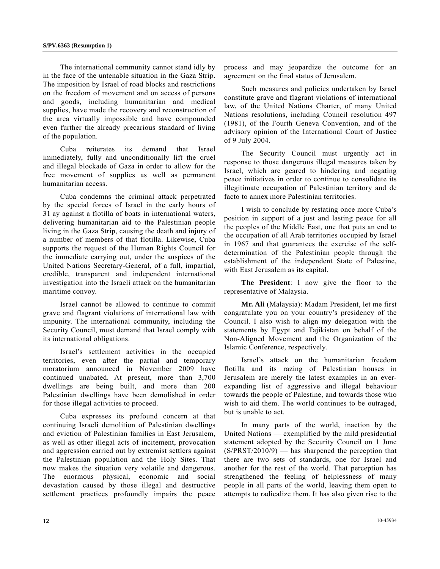The international community cannot stand idly by in the face of the untenable situation in the Gaza Strip. The imposition by Israel of road blocks and restrictions on the freedom of movement and on access of persons and goods, including humanitarian and medical supplies, have made the recovery and reconstruction of the area virtually impossible and have compounded even further the already precarious standard of living of the population.

 Cuba reiterates its demand that Israel immediately, fully and unconditionally lift the cruel and illegal blockade of Gaza in order to allow for the free movement of supplies as well as permanent humanitarian access.

 Cuba condemns the criminal attack perpetrated by the special forces of Israel in the early hours of 31 ay against a flotilla of boats in international waters, delivering humanitarian aid to the Palestinian people living in the Gaza Strip, causing the death and injury of a number of members of that flotilla. Likewise, Cuba supports the request of the Human Rights Council for the immediate carrying out, under the auspices of the United Nations Secretary-General, of a full, impartial, credible, transparent and independent international investigation into the Israeli attack on the humanitarian maritime convoy.

 Israel cannot be allowed to continue to commit grave and flagrant violations of international law with impunity. The international community, including the Security Council, must demand that Israel comply with its international obligations.

 Israel's settlement activities in the occupied territories, even after the partial and temporary moratorium announced in November 2009 have continued unabated. At present, more than 3,700 dwellings are being built, and more than 200 Palestinian dwellings have been demolished in order for those illegal activities to proceed.

 Cuba expresses its profound concern at that continuing Israeli demolition of Palestinian dwellings and eviction of Palestinian families in East Jerusalem, as well as other illegal acts of incitement, provocation and aggression carried out by extremist settlers against the Palestinian population and the Holy Sites. That now makes the situation very volatile and dangerous. The enormous physical, economic and social devastation caused by those illegal and destructive settlement practices profoundly impairs the peace

process and may jeopardize the outcome for an agreement on the final status of Jerusalem.

 Such measures and policies undertaken by Israel constitute grave and flagrant violations of international law, of the United Nations Charter, of many United Nations resolutions, including Council resolution 497 (1981), of the Fourth Geneva Convention, and of the advisory opinion of the International Court of Justice of 9 July 2004.

 The Security Council must urgently act in response to those dangerous illegal measures taken by Israel, which are geared to hindering and negating peace initiatives in order to continue to consolidate its illegitimate occupation of Palestinian territory and de facto to annex more Palestinian territories.

 I wish to conclude by restating once more Cuba's position in support of a just and lasting peace for all the peoples of the Middle East, one that puts an end to the occupation of all Arab territories occupied by Israel in 1967 and that guarantees the exercise of the selfdetermination of the Palestinian people through the establishment of the independent State of Palestine, with East Jerusalem as its capital.

**The President**: I now give the floor to the representative of Malaysia.

**Mr. Ali** (Malaysia): Madam President, let me first congratulate you on your country's presidency of the Council. I also wish to align my delegation with the statements by Egypt and Tajikistan on behalf of the Non-Aligned Movement and the Organization of the Islamic Conference, respectively.

 Israel's attack on the humanitarian freedom flotilla and its razing of Palestinian houses in Jerusalem are merely the latest examples in an everexpanding list of aggressive and illegal behaviour towards the people of Palestine, and towards those who wish to aid them. The world continues to be outraged, but is unable to act.

 In many parts of the world, inaction by the United Nations — exemplified by the mild presidential statement adopted by the Security Council on 1 June (S/PRST/2010/9) — has sharpened the perception that there are two sets of standards, one for Israel and another for the rest of the world. That perception has strengthened the feeling of helplessness of many people in all parts of the world, leaving them open to attempts to radicalize them. It has also given rise to the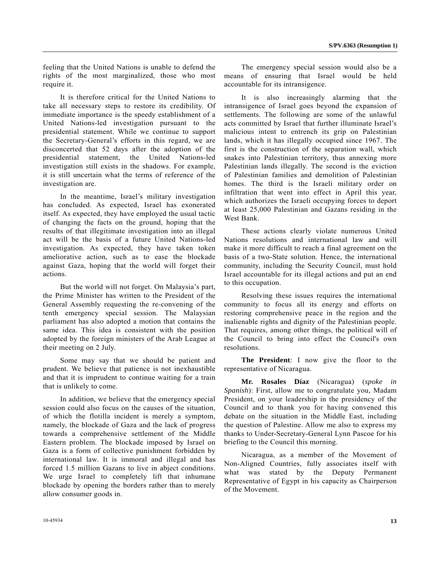feeling that the United Nations is unable to defend the rights of the most marginalized, those who most require it.

 It is therefore critical for the United Nations to take all necessary steps to restore its credibility. Of immediate importance is the speedy establishment of a United Nations-led investigation pursuant to the presidential statement. While we continue to support the Secretary-General's efforts in this regard, we are disconcerted that 52 days after the adoption of the presidential statement, the United Nations-led investigation still exists in the shadows. For example, it is still uncertain what the terms of reference of the investigation are.

 In the meantime, Israel's military investigation has concluded. As expected, Israel has exonerated itself. As expected, they have employed the usual tactic of changing the facts on the ground, hoping that the results of that illegitimate investigation into an illegal act will be the basis of a future United Nations-led investigation. As expected, they have taken token ameliorative action, such as to ease the blockade against Gaza, hoping that the world will forget their actions.

 But the world will not forget. On Malaysia's part, the Prime Minister has written to the President of the General Assembly requesting the re-convening of the tenth emergency special session. The Malaysian parliament has also adopted a motion that contains the same idea. This idea is consistent with the position adopted by the foreign ministers of the Arab League at their meeting on 2 July.

 Some may say that we should be patient and prudent. We believe that patience is not inexhaustible and that it is imprudent to continue waiting for a train that is unlikely to come.

 In addition, we believe that the emergency special session could also focus on the causes of the situation, of which the flotilla incident is merely a symptom, namely, the blockade of Gaza and the lack of progress towards a comprehensive settlement of the Middle Eastern problem. The blockade imposed by Israel on Gaza is a form of collective punishment forbidden by international law. It is immoral and illegal and has forced 1.5 million Gazans to live in abject conditions. We urge Israel to completely lift that inhumane blockade by opening the borders rather than to merely allow consumer goods in.

 The emergency special session would also be a means of ensuring that Israel would be held accountable for its intransigence.

 It is also increasingly alarming that the intransigence of Israel goes beyond the expansion of settlements. The following are some of the unlawful acts committed by Israel that further illuminate Israel's malicious intent to entrench its grip on Palestinian lands, which it has illegally occupied since 1967. The first is the construction of the separation wall, which snakes into Palestinian territory, thus annexing more Palestinian lands illegally. The second is the eviction of Palestinian families and demolition of Palestinian homes. The third is the Israeli military order on infiltration that went into effect in April this year, which authorizes the Israeli occupying forces to deport at least 25,000 Palestinian and Gazans residing in the West Bank.

 These actions clearly violate numerous United Nations resolutions and international law and will make it more difficult to reach a final agreement on the basis of a two-State solution. Hence, the international community, including the Security Council, must hold Israel accountable for its illegal actions and put an end to this occupation.

 Resolving these issues requires the international community to focus all its energy and efforts on restoring comprehensive peace in the region and the inalienable rights and dignity of the Palestinian people. That requires, among other things, the political will of the Council to bring into effect the Council's own resolutions.

**The President**: I now give the floor to the representative of Nicaragua.

**Mr. Rosales Díaz** (Nicaragua) (*spoke in Spanish*): First, allow me to congratulate you, Madam President, on your leadership in the presidency of the Council and to thank you for having convened this debate on the situation in the Middle East, including the question of Palestine. Allow me also to express my thanks to Under-Secretary-General Lynn Pascoe for his briefing to the Council this morning.

 Nicaragua, as a member of the Movement of Non-Aligned Countries, fully associates itself with what was stated by the Deputy Permanent Representative of Egypt in his capacity as Chairperson of the Movement.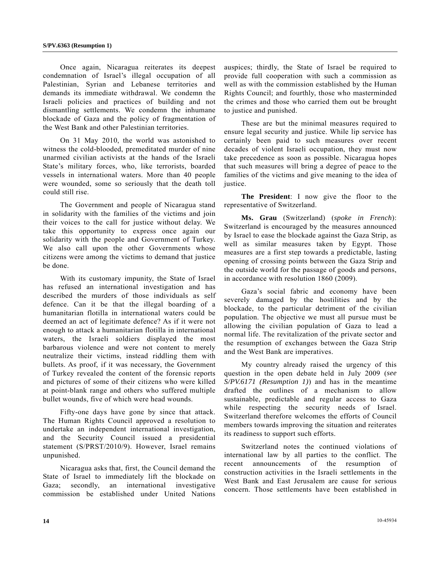Once again, Nicaragua reiterates its deepest condemnation of Israel's illegal occupation of all Palestinian, Syrian and Lebanese territories and demands its immediate withdrawal. We condemn the Israeli policies and practices of building and not dismantling settlements. We condemn the inhumane blockade of Gaza and the policy of fragmentation of the West Bank and other Palestinian territories.

 On 31 May 2010, the world was astonished to witness the cold-blooded, premeditated murder of nine unarmed civilian activists at the hands of the Israeli State's military forces, who, like terrorists, boarded vessels in international waters. More than 40 people were wounded, some so seriously that the death toll could still rise.

 The Government and people of Nicaragua stand in solidarity with the families of the victims and join their voices to the call for justice without delay. We take this opportunity to express once again our solidarity with the people and Government of Turkey. We also call upon the other Governments whose citizens were among the victims to demand that justice be done.

 With its customary impunity, the State of Israel has refused an international investigation and has described the murders of those individuals as self defence. Can it be that the illegal boarding of a humanitarian flotilla in international waters could be deemed an act of legitimate defence? As if it were not enough to attack a humanitarian flotilla in international waters, the Israeli soldiers displayed the most barbarous violence and were not content to merely neutralize their victims, instead riddling them with bullets. As proof, if it was necessary, the Government of Turkey revealed the content of the forensic reports and pictures of some of their citizens who were killed at point-blank range and others who suffered multiple bullet wounds, five of which were head wounds.

 Fifty-one days have gone by since that attack. The Human Rights Council approved a resolution to undertake an independent international investigation, and the Security Council issued a presidential statement (S/PRST/2010/9). However, Israel remains unpunished.

 Nicaragua asks that, first, the Council demand the State of Israel to immediately lift the blockade on Gaza; secondly, an international investigative commission be established under United Nations

auspices; thirdly, the State of Israel be required to provide full cooperation with such a commission as well as with the commission established by the Human Rights Council; and fourthly, those who masterminded the crimes and those who carried them out be brought to justice and punished.

 These are but the minimal measures required to ensure legal security and justice. While lip service has certainly been paid to such measures over recent decades of violent Israeli occupation, they must now take precedence as soon as possible. Nicaragua hopes that such measures will bring a degree of peace to the families of the victims and give meaning to the idea of justice.

**The President**: I now give the floor to the representative of Switzerland.

**Ms. Grau** (Switzerland) (*spoke in French*): Switzerland is encouraged by the measures announced by Israel to ease the blockade against the Gaza Strip, as well as similar measures taken by Egypt. Those measures are a first step towards a predictable, lasting opening of crossing points between the Gaza Strip and the outside world for the passage of goods and persons, in accordance with resolution 1860 (2009).

 Gaza's social fabric and economy have been severely damaged by the hostilities and by the blockade, to the particular detriment of the civilian population. The objective we must all pursue must be allowing the civilian population of Gaza to lead a normal life. The revitalization of the private sector and the resumption of exchanges between the Gaza Strip and the West Bank are imperatives.

 My country already raised the urgency of this question in the open debate held in July 2009 (*see S/PV.6171 (Resumption 1)*) and has in the meantime drafted the outlines of a mechanism to allow sustainable, predictable and regular access to Gaza while respecting the security needs of Israel. Switzerland therefore welcomes the efforts of Council members towards improving the situation and reiterates its readiness to support such efforts.

 Switzerland notes the continued violations of international law by all parties to the conflict. The recent announcements of the resumption of construction activities in the Israeli settlements in the West Bank and East Jerusalem are cause for serious concern. Those settlements have been established in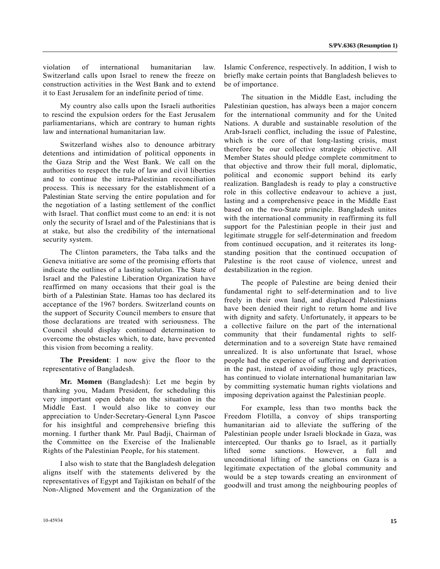violation of international humanitarian law. Switzerland calls upon Israel to renew the freeze on construction activities in the West Bank and to extend it to East Jerusalem for an indefinite period of time.

 My country also calls upon the Israeli authorities to rescind the expulsion orders for the East Jerusalem parliamentarians, which are contrary to human rights law and international humanitarian law.

 Switzerland wishes also to denounce arbitrary detentions and intimidation of political opponents in the Gaza Strip and the West Bank. We call on the authorities to respect the rule of law and civil liberties and to continue the intra-Palestinian reconciliation process. This is necessary for the establishment of a Palestinian State serving the entire population and for the negotiation of a lasting settlement of the conflict with Israel. That conflict must come to an end: it is not only the security of Israel and of the Palestinians that is at stake, but also the credibility of the international security system.

 The Clinton parameters, the Taba talks and the Geneva initiative are some of the promising efforts that indicate the outlines of a lasting solution. The State of Israel and the Palestine Liberation Organization have reaffirmed on many occasions that their goal is the birth of a Palestinian State. Hamas too has declared its acceptance of the 1967 borders. Switzerland counts on the support of Security Council members to ensure that those declarations are treated with seriousness. The Council should display continued determination to overcome the obstacles which, to date, have prevented this vision from becoming a reality.

**The President**: I now give the floor to the representative of Bangladesh.

**Mr. Momen** (Bangladesh): Let me begin by thanking you, Madam President, for scheduling this very important open debate on the situation in the Middle East. I would also like to convey our appreciation to Under-Secretary-General Lynn Pascoe for his insightful and comprehensive briefing this morning. I further thank Mr. Paul Badji, Chairman of the Committee on the Exercise of the Inalienable Rights of the Palestinian People, for his statement.

 I also wish to state that the Bangladesh delegation aligns itself with the statements delivered by the representatives of Egypt and Tajikistan on behalf of the Non-Aligned Movement and the Organization of the

Islamic Conference, respectively. In addition, I wish to briefly make certain points that Bangladesh believes to be of importance.

 The situation in the Middle East, including the Palestinian question, has always been a major concern for the international community and for the United Nations. A durable and sustainable resolution of the Arab-Israeli conflict, including the issue of Palestine, which is the core of that long-lasting crisis, must therefore be our collective strategic objective. All Member States should pledge complete commitment to that objective and throw their full moral, diplomatic, political and economic support behind its early realization. Bangladesh is ready to play a constructive role in this collective endeavour to achieve a just, lasting and a comprehensive peace in the Middle East based on the two-State principle. Bangladesh unites with the international community in reaffirming its full support for the Palestinian people in their just and legitimate struggle for self-determination and freedom from continued occupation, and it reiterates its longstanding position that the continued occupation of Palestine is the root cause of violence, unrest and destabilization in the region.

 The people of Palestine are being denied their fundamental right to self-determination and to live freely in their own land, and displaced Palestinians have been denied their right to return home and live with dignity and safety. Unfortunately, it appears to be a collective failure on the part of the international community that their fundamental rights to selfdetermination and to a sovereign State have remained unrealized. It is also unfortunate that Israel, whose people had the experience of suffering and deprivation in the past, instead of avoiding those ugly practices, has continued to violate international humanitarian law by committing systematic human rights violations and imposing deprivation against the Palestinian people.

 For example, less than two months back the Freedom Flotilla, a convoy of ships transporting humanitarian aid to alleviate the suffering of the Palestinian people under Israeli blockade in Gaza, was intercepted. Our thanks go to Israel, as it partially lifted some sanctions. However, a full and unconditional lifting of the sanctions on Gaza is a legitimate expectation of the global community and would be a step towards creating an environment of goodwill and trust among the neighbouring peoples of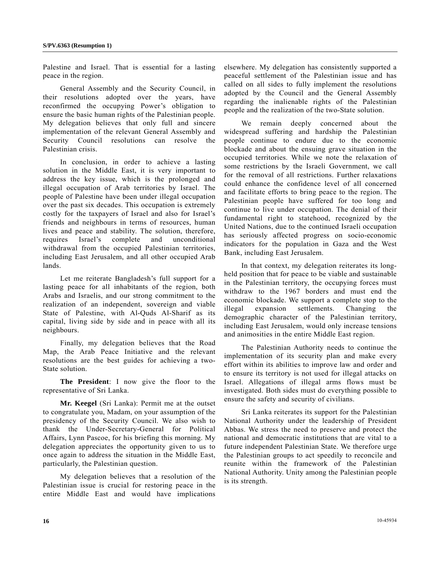Palestine and Israel. That is essential for a lasting peace in the region.

 General Assembly and the Security Council, in their resolutions adopted over the years, have reconfirmed the occupying Power's obligation to ensure the basic human rights of the Palestinian people. My delegation believes that only full and sincere implementation of the relevant General Assembly and Security Council resolutions can resolve the Palestinian crisis.

 In conclusion, in order to achieve a lasting solution in the Middle East, it is very important to address the key issue, which is the prolonged and illegal occupation of Arab territories by Israel. The people of Palestine have been under illegal occupation over the past six decades. This occupation is extremely costly for the taxpayers of Israel and also for Israel's friends and neighbours in terms of resources, human lives and peace and stability. The solution, therefore, requires Israel's complete and unconditional withdrawal from the occupied Palestinian territories, including East Jerusalem, and all other occupied Arab lands.

 Let me reiterate Bangladesh's full support for a lasting peace for all inhabitants of the region, both Arabs and Israelis, and our strong commitment to the realization of an independent, sovereign and viable State of Palestine, with Al-Quds Al-Sharif as its capital, living side by side and in peace with all its neighbours.

 Finally, my delegation believes that the Road Map, the Arab Peace Initiative and the relevant resolutions are the best guides for achieving a two-State solution.

**The President**: I now give the floor to the representative of Sri Lanka.

**Mr. Keegel** (Sri Lanka): Permit me at the outset to congratulate you, Madam, on your assumption of the presidency of the Security Council. We also wish to thank the Under-Secretary-General for Political Affairs, Lynn Pascoe, for his briefing this morning. My delegation appreciates the opportunity given to us to once again to address the situation in the Middle East, particularly, the Palestinian question.

 My delegation believes that a resolution of the Palestinian issue is crucial for restoring peace in the entire Middle East and would have implications

elsewhere. My delegation has consistently supported a peaceful settlement of the Palestinian issue and has called on all sides to fully implement the resolutions adopted by the Council and the General Assembly regarding the inalienable rights of the Palestinian people and the realization of the two-State solution.

 We remain deeply concerned about the widespread suffering and hardship the Palestinian people continue to endure due to the economic blockade and about the ensuing grave situation in the occupied territories. While we note the relaxation of some restrictions by the Israeli Government, we call for the removal of all restrictions. Further relaxations could enhance the confidence level of all concerned and facilitate efforts to bring peace to the region. The Palestinian people have suffered for too long and continue to live under occupation. The denial of their fundamental right to statehood, recognized by the United Nations, due to the continued Israeli occupation has seriously affected progress on socio-economic indicators for the population in Gaza and the West Bank, including East Jerusalem.

 In that context, my delegation reiterates its longheld position that for peace to be viable and sustainable in the Palestinian territory, the occupying forces must withdraw to the 1967 borders and must end the economic blockade. We support a complete stop to the illegal expansion settlements. Changing the demographic character of the Palestinian territory, including East Jerusalem, would only increase tensions and animosities in the entire Middle East region.

 The Palestinian Authority needs to continue the implementation of its security plan and make every effort within its abilities to improve law and order and to ensure its territory is not used for illegal attacks on Israel. Allegations of illegal arms flows must be investigated. Both sides must do everything possible to ensure the safety and security of civilians.

 Sri Lanka reiterates its support for the Palestinian National Authority under the leadership of President Abbas. We stress the need to preserve and protect the national and democratic institutions that are vital to a future independent Palestinian State. We therefore urge the Palestinian groups to act speedily to reconcile and reunite within the framework of the Palestinian National Authority. Unity among the Palestinian people is its strength.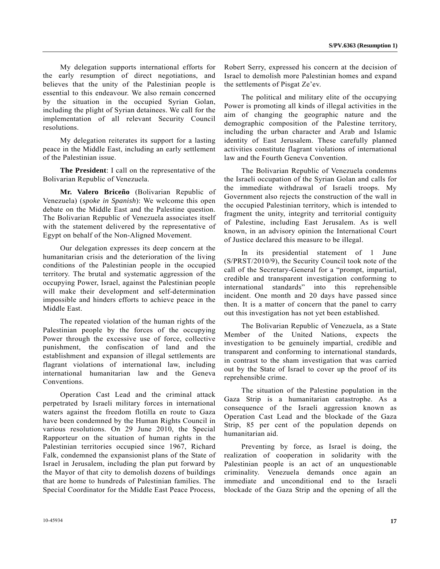My delegation supports international efforts for the early resumption of direct negotiations, and believes that the unity of the Palestinian people is essential to this endeavour. We also remain concerned by the situation in the occupied Syrian Golan, including the plight of Syrian detainees. We call for the implementation of all relevant Security Council resolutions.

 My delegation reiterates its support for a lasting peace in the Middle East, including an early settlement of the Palestinian issue.

**The President**: I call on the representative of the Bolivarian Republic of Venezuela.

 **Mr. Valero Briceño** (Bolivarian Republic of Venezuela) (*spoke in Spanish*): We welcome this open debate on the Middle East and the Palestine question. The Bolivarian Republic of Venezuela associates itself with the statement delivered by the representative of Egypt on behalf of the Non-Aligned Movement.

 Our delegation expresses its deep concern at the humanitarian crisis and the deterioration of the living conditions of the Palestinian people in the occupied territory. The brutal and systematic aggression of the occupying Power, Israel, against the Palestinian people will make their development and self-determination impossible and hinders efforts to achieve peace in the Middle East.

 The repeated violation of the human rights of the Palestinian people by the forces of the occupying Power through the excessive use of force, collective punishment, the confiscation of land and the establishment and expansion of illegal settlements are flagrant violations of international law, including international humanitarian law and the Geneva Conventions.

 Operation Cast Lead and the criminal attack perpetrated by Israeli military forces in international waters against the freedom flotilla en route to Gaza have been condemned by the Human Rights Council in various resolutions. On 29 June 2010, the Special Rapporteur on the situation of human rights in the Palestinian territories occupied since 1967, Richard Falk, condemned the expansionist plans of the State of Israel in Jerusalem, including the plan put forward by the Mayor of that city to demolish dozens of buildings that are home to hundreds of Palestinian families. The Special Coordinator for the Middle East Peace Process,

Robert Serry, expressed his concern at the decision of Israel to demolish more Palestinian homes and expand the settlements of Pisgat Ze'ev.

 The political and military elite of the occupying Power is promoting all kinds of illegal activities in the aim of changing the geographic nature and the demographic composition of the Palestine territory, including the urban character and Arab and Islamic identity of East Jerusalem. These carefully planned activities constitute flagrant violations of international law and the Fourth Geneva Convention.

 The Bolivarian Republic of Venezuela condemns the Israeli occupation of the Syrian Golan and calls for the immediate withdrawal of Israeli troops. My Government also rejects the construction of the wall in the occupied Palestinian territory, which is intended to fragment the unity, integrity and territorial contiguity of Palestine, including East Jerusalem. As is well known, in an advisory opinion the International Court of Justice declared this measure to be illegal.

 In its presidential statement of 1 June (S/PRST/2010/9), the Security Council took note of the call of the Secretary-General for a "prompt, impartial, credible and transparent investigation conforming to international standards" into this reprehensible incident. One month and 20 days have passed since then. It is a matter of concern that the panel to carry out this investigation has not yet been established.

 The Bolivarian Republic of Venezuela, as a State Member of the United Nations, expects the investigation to be genuinely impartial, credible and transparent and conforming to international standards, in contrast to the sham investigation that was carried out by the State of Israel to cover up the proof of its reprehensible crime.

 The situation of the Palestine population in the Gaza Strip is a humanitarian catastrophe. As a consequence of the Israeli aggression known as Operation Cast Lead and the blockade of the Gaza Strip, 85 per cent of the population depends on humanitarian aid.

 Preventing by force, as Israel is doing, the realization of cooperation in solidarity with the Palestinian people is an act of an unquestionable criminality. Venezuela demands once again an immediate and unconditional end to the Israeli blockade of the Gaza Strip and the opening of all the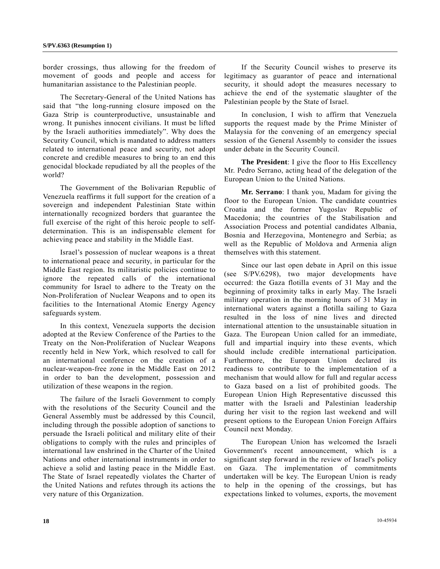border crossings, thus allowing for the freedom of movement of goods and people and access for humanitarian assistance to the Palestinian people.

 The Secretary-General of the United Nations has said that "the long-running closure imposed on the Gaza Strip is counterproductive, unsustainable and wrong. It punishes innocent civilians. It must be lifted by the Israeli authorities immediately". Why does the Security Council, which is mandated to address matters related to international peace and security, not adopt concrete and credible measures to bring to an end this genocidal blockade repudiated by all the peoples of the world?

 The Government of the Bolivarian Republic of Venezuela reaffirms it full support for the creation of a sovereign and independent Palestinian State within internationally recognized borders that guarantee the full exercise of the right of this heroic people to selfdetermination. This is an indispensable element for achieving peace and stability in the Middle East.

 Israel's possession of nuclear weapons is a threat to international peace and security, in particular for the Middle East region. Its militaristic policies continue to ignore the repeated calls of the international community for Israel to adhere to the Treaty on the Non-Proliferation of Nuclear Weapons and to open its facilities to the International Atomic Energy Agency safeguards system.

 In this context, Venezuela supports the decision adopted at the Review Conference of the Parties to the Treaty on the Non-Proliferation of Nuclear Weapons recently held in New York, which resolved to call for an international conference on the creation of a nuclear-weapon-free zone in the Middle East on 2012 in order to ban the development, possession and utilization of these weapons in the region.

 The failure of the Israeli Government to comply with the resolutions of the Security Council and the General Assembly must be addressed by this Council, including through the possible adoption of sanctions to persuade the Israeli political and military elite of their obligations to comply with the rules and principles of international law enshrined in the Charter of the United Nations and other international instruments in order to achieve a solid and lasting peace in the Middle East. The State of Israel repeatedly violates the Charter of the United Nations and refutes through its actions the very nature of this Organization.

 If the Security Council wishes to preserve its legitimacy as guarantor of peace and international security, it should adopt the measures necessary to achieve the end of the systematic slaughter of the Palestinian people by the State of Israel.

 In conclusion, I wish to affirm that Venezuela supports the request made by the Prime Minister of Malaysia for the convening of an emergency special session of the General Assembly to consider the issues under debate in the Security Council.

**The President**: I give the floor to His Excellency Mr. Pedro Serrano, acting head of the delegation of the European Union to the United Nations.

**Mr. Serrano**: I thank you, Madam for giving the floor to the European Union. The candidate countries Croatia and the former Yugoslav Republic of Macedonia; the countries of the Stabilisation and Association Process and potential candidates Albania, Bosnia and Herzegovina, Montenegro and Serbia; as well as the Republic of Moldova and Armenia align themselves with this statement.

 Since our last open debate in April on this issue (see S/PV.6298), two major developments have occurred: the Gaza flotilla events of 31 May and the beginning of proximity talks in early May. The Israeli military operation in the morning hours of 31 May in international waters against a flotilla sailing to Gaza resulted in the loss of nine lives and directed international attention to the unsustainable situation in Gaza. The European Union called for an immediate, full and impartial inquiry into these events, which should include credible international participation. Furthermore, the European Union declared its readiness to contribute to the implementation of a mechanism that would allow for full and regular access to Gaza based on a list of prohibited goods. The European Union High Representative discussed this matter with the Israeli and Palestinian leadership during her visit to the region last weekend and will present options to the European Union Foreign Affairs Council next Monday.

 The European Union has welcomed the Israeli Government's recent announcement, which is a significant step forward in the review of Israel's policy on Gaza. The implementation of commitments undertaken will be key. The European Union is ready to help in the opening of the crossings, but has expectations linked to volumes, exports, the movement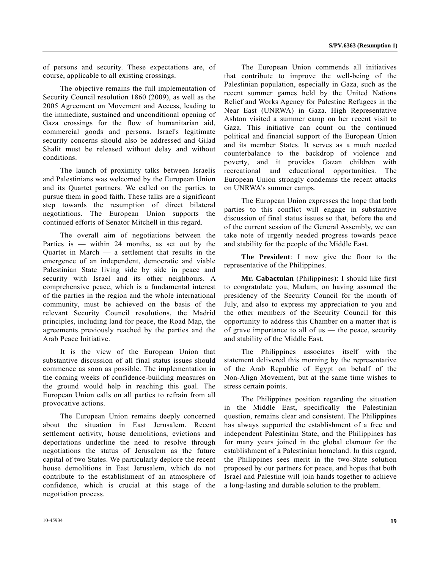of persons and security. These expectations are, of course, applicable to all existing crossings.

 The objective remains the full implementation of Security Council resolution 1860 (2009), as well as the 2005 Agreement on Movement and Access, leading to the immediate, sustained and unconditional opening of Gaza crossings for the flow of humanitarian aid, commercial goods and persons. Israel's legitimate security concerns should also be addressed and Gilad Shalit must be released without delay and without conditions.

 The launch of proximity talks between Israelis and Palestinians was welcomed by the European Union and its Quartet partners. We called on the parties to pursue them in good faith. These talks are a significant step towards the resumption of direct bilateral negotiations. The European Union supports the continued efforts of Senator Mitchell in this regard.

 The overall aim of negotiations between the Parties is — within 24 months, as set out by the Quartet in March — a settlement that results in the emergence of an independent, democratic and viable Palestinian State living side by side in peace and security with Israel and its other neighbours. A comprehensive peace, which is a fundamental interest of the parties in the region and the whole international community, must be achieved on the basis of the relevant Security Council resolutions, the Madrid principles, including land for peace, the Road Map, the agreements previously reached by the parties and the Arab Peace Initiative.

 It is the view of the European Union that substantive discussion of all final status issues should commence as soon as possible. The implementation in the coming weeks of confidence-building measures on the ground would help in reaching this goal. The European Union calls on all parties to refrain from all provocative actions.

 The European Union remains deeply concerned about the situation in East Jerusalem. Recent settlement activity, house demolitions, evictions and deportations underline the need to resolve through negotiations the status of Jerusalem as the future capital of two States. We particularly deplore the recent house demolitions in East Jerusalem, which do not contribute to the establishment of an atmosphere of confidence, which is crucial at this stage of the negotiation process.

 The European Union commends all initiatives that contribute to improve the well-being of the Palestinian population, especially in Gaza, such as the recent summer games held by the United Nations Relief and Works Agency for Palestine Refugees in the Near East (UNRWA) in Gaza. High Representative Ashton visited a summer camp on her recent visit to Gaza. This initiative can count on the continued political and financial support of the European Union and its member States. It serves as a much needed counterbalance to the backdrop of violence and poverty, and it provides Gazan children with recreational and educational opportunities. The European Union strongly condemns the recent attacks on UNRWA's summer camps.

 The European Union expresses the hope that both parties to this conflict will engage in substantive discussion of final status issues so that, before the end of the current session of the General Assembly, we can take note of urgently needed progress towards peace and stability for the people of the Middle East.

**The President**: I now give the floor to the representative of the Philippines.

**Mr. Cabactulan** (Philippines): I should like first to congratulate you, Madam, on having assumed the presidency of the Security Council for the month of July, and also to express my appreciation to you and the other members of the Security Council for this opportunity to address this Chamber on a matter that is of grave importance to all of us — the peace, security and stability of the Middle East.

 The Philippines associates itself with the statement delivered this morning by the representative of the Arab Republic of Egypt on behalf of the Non-Align Movement, but at the same time wishes to stress certain points.

 The Philippines position regarding the situation in the Middle East, specifically the Palestinian question, remains clear and consistent. The Philippines has always supported the establishment of a free and independent Palestinian State, and the Philippines has for many years joined in the global clamour for the establishment of a Palestinian homeland. In this regard, the Philippines sees merit in the two-State solution proposed by our partners for peace, and hopes that both Israel and Palestine will join hands together to achieve a long-lasting and durable solution to the problem.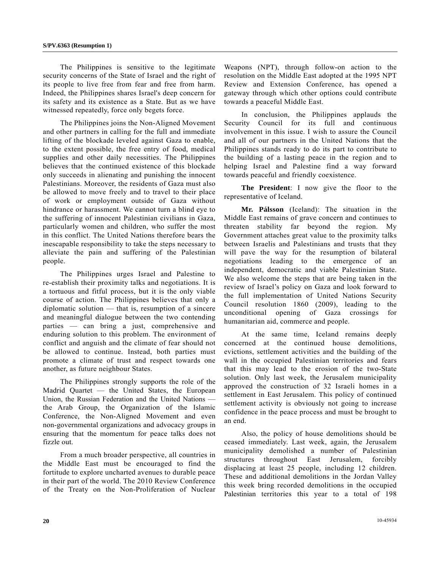The Philippines is sensitive to the legitimate security concerns of the State of Israel and the right of its people to live free from fear and free from harm. Indeed, the Philippines shares Israel's deep concern for its safety and its existence as a State. But as we have witnessed repeatedly, force only begets force.

 The Philippines joins the Non-Aligned Movement and other partners in calling for the full and immediate lifting of the blockade leveled against Gaza to enable, to the extent possible, the free entry of food, medical supplies and other daily necessities. The Philippines believes that the continued existence of this blockade only succeeds in alienating and punishing the innocent Palestinians. Moreover, the residents of Gaza must also be allowed to move freely and to travel to their place of work or employment outside of Gaza without hindrance or harassment. We cannot turn a blind eye to the suffering of innocent Palestinian civilians in Gaza, particularly women and children, who suffer the most in this conflict. The United Nations therefore bears the inescapable responsibility to take the steps necessary to alleviate the pain and suffering of the Palestinian people.

 The Philippines urges Israel and Palestine to re-establish their proximity talks and negotiations. It is a tortuous and fitful process, but it is the only viable course of action. The Philippines believes that only a diplomatic solution — that is, resumption of a sincere and meaningful dialogue between the two contending parties — can bring a just, comprehensive and enduring solution to this problem. The environment of conflict and anguish and the climate of fear should not be allowed to continue. Instead, both parties must promote a climate of trust and respect towards one another, as future neighbour States.

 The Philippines strongly supports the role of the Madrid Quartet — the United States, the European Union, the Russian Federation and the United Nations the Arab Group, the Organization of the Islamic Conference, the Non-Aligned Movement and even non-governmental organizations and advocacy groups in ensuring that the momentum for peace talks does not fizzle out.

 From a much broader perspective, all countries in the Middle East must be encouraged to find the fortitude to explore uncharted avenues to durable peace in their part of the world. The 2010 Review Conference of the Treaty on the Non-Proliferation of Nuclear

Weapons (NPT), through follow-on action to the resolution on the Middle East adopted at the 1995 NPT Review and Extension Conference, has opened a gateway through which other options could contribute towards a peaceful Middle East.

 In conclusion, the Philippines applauds the Security Council for its full and continuous involvement in this issue. I wish to assure the Council and all of our partners in the United Nations that the Philippines stands ready to do its part to contribute to the building of a lasting peace in the region and to helping Israel and Palestine find a way forward towards peaceful and friendly coexistence.

**The President**: I now give the floor to the representative of Iceland.

**Mr. Pálsson** (Iceland): The situation in the Middle East remains of grave concern and continues to threaten stability far beyond the region. My Government attaches great value to the proximity talks between Israelis and Palestinians and trusts that they will pave the way for the resumption of bilateral negotiations leading to the emergence of an independent, democratic and viable Palestinian State. We also welcome the steps that are being taken in the review of Israel's policy on Gaza and look forward to the full implementation of United Nations Security Council resolution 1860 (2009), leading to the unconditional opening of Gaza crossings for humanitarian aid, commerce and people.

 At the same time, Iceland remains deeply concerned at the continued house demolitions, evictions, settlement activities and the building of the wall in the occupied Palestinian territories and fears that this may lead to the erosion of the two-State solution. Only last week, the Jerusalem municipality approved the construction of 32 Israeli homes in a settlement in East Jerusalem. This policy of continued settlement activity is obviously not going to increase confidence in the peace process and must be brought to an end.

 Also, the policy of house demolitions should be ceased immediately. Last week, again, the Jerusalem municipality demolished a number of Palestinian structures throughout East Jerusalem, forcibly displacing at least 25 people, including 12 children. These and additional demolitions in the Jordan Valley this week bring recorded demolitions in the occupied Palestinian territories this year to a total of 198